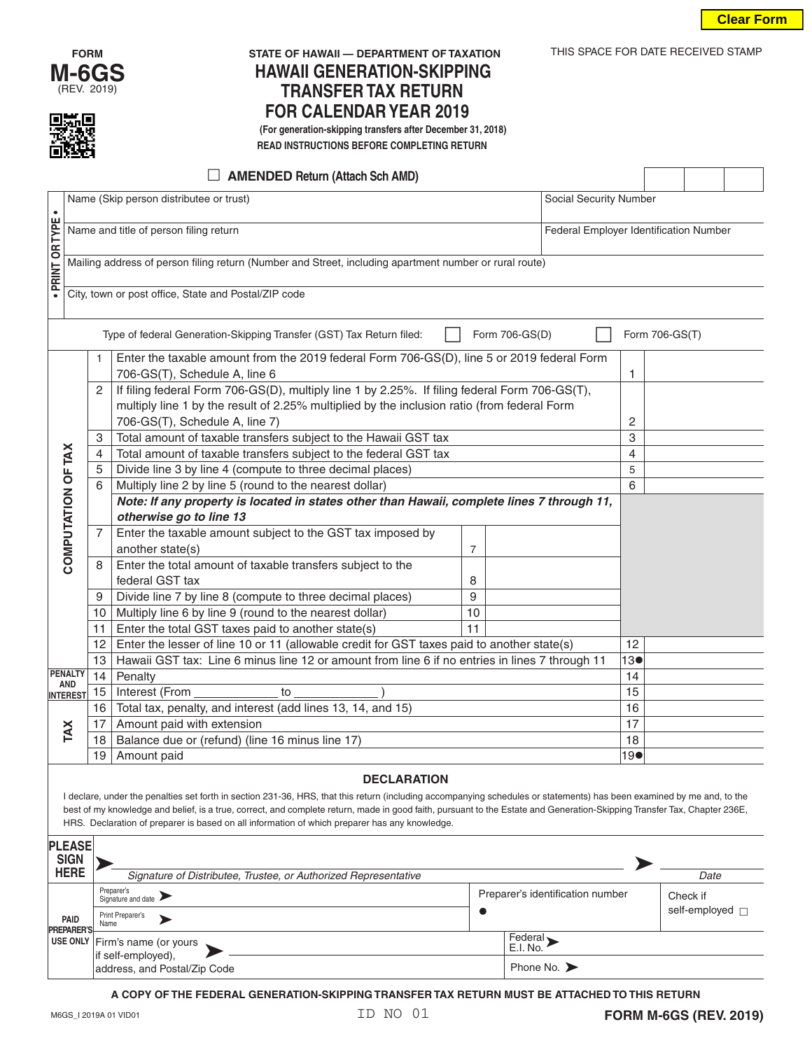

# **FORM STATE OF HAWAII — DEPARTMENT OF TAXATION** THIS SPACE FOR DATE RECEIVED STAMP **HAWAII GENERATION-SKIPPING TRANSFER TAX RETURN FOR CALENDAR YEAR 2019 (For generation-skipping transfers after December 31, 2018)**

 **READ INSTRUCTIONS BEFORE COMPLETING RETURN**

| $\Box$ AMENDED Return (Attach Sch AMD)                                                                                                                                   |                                                                                         |                                                                |                                                                                                        |                |        |  |    |  |  |  |  |
|--------------------------------------------------------------------------------------------------------------------------------------------------------------------------|-----------------------------------------------------------------------------------------|----------------------------------------------------------------|--------------------------------------------------------------------------------------------------------|----------------|--------|--|----|--|--|--|--|
|                                                                                                                                                                          | Name (Skip person distributee or trust)<br>Social Security Number                       |                                                                |                                                                                                        |                |        |  |    |  |  |  |  |
|                                                                                                                                                                          |                                                                                         |                                                                |                                                                                                        |                |        |  |    |  |  |  |  |
| · PRINT OR TYPE                                                                                                                                                          | Name and title of person filing return<br><b>Federal Employer Identification Number</b> |                                                                |                                                                                                        |                |        |  |    |  |  |  |  |
|                                                                                                                                                                          |                                                                                         |                                                                |                                                                                                        |                |        |  |    |  |  |  |  |
|                                                                                                                                                                          |                                                                                         |                                                                | Mailing address of person filing return (Number and Street, including apartment number or rural route) |                |        |  |    |  |  |  |  |
|                                                                                                                                                                          |                                                                                         |                                                                | City, town or post office, State and Postal/ZIP code                                                   |                |        |  |    |  |  |  |  |
|                                                                                                                                                                          |                                                                                         |                                                                |                                                                                                        |                |        |  |    |  |  |  |  |
| Type of federal Generation-Skipping Transfer (GST) Tax Return filed:<br>Form 706-GS(D)<br>Form 706-GS(T)                                                                 |                                                                                         |                                                                |                                                                                                        |                |        |  |    |  |  |  |  |
|                                                                                                                                                                          |                                                                                         | $\mathbf{1}$                                                   | Enter the taxable amount from the 2019 federal Form 706-GS(D), line 5 or 2019 federal Form             |                |        |  |    |  |  |  |  |
|                                                                                                                                                                          |                                                                                         |                                                                | 706-GS(T), Schedule A, line 6                                                                          |                |        |  | 1  |  |  |  |  |
|                                                                                                                                                                          |                                                                                         | 2                                                              | If filing federal Form 706-GS(D), multiply line 1 by 2.25%. If filing federal Form 706-GS(T),          |                |        |  |    |  |  |  |  |
|                                                                                                                                                                          |                                                                                         |                                                                | multiply line 1 by the result of 2.25% multiplied by the inclusion ratio (from federal Form            |                |        |  |    |  |  |  |  |
|                                                                                                                                                                          |                                                                                         |                                                                | 706-GS(T), Schedule A, line 7)                                                                         |                | 2      |  |    |  |  |  |  |
|                                                                                                                                                                          |                                                                                         | 3                                                              | Total amount of taxable transfers subject to the Hawaii GST tax                                        |                |        |  | 3  |  |  |  |  |
|                                                                                                                                                                          |                                                                                         | $\overline{4}$                                                 | Total amount of taxable transfers subject to the federal GST tax                                       |                | 4<br>5 |  |    |  |  |  |  |
|                                                                                                                                                                          |                                                                                         | 5<br>Divide line 3 by line 4 (compute to three decimal places) |                                                                                                        |                |        |  |    |  |  |  |  |
|                                                                                                                                                                          | COMPUTATION OF TAX                                                                      | 6                                                              | Multiply line 2 by line 5 (round to the nearest dollar)                                                |                |        |  |    |  |  |  |  |
|                                                                                                                                                                          |                                                                                         |                                                                | Note: If any property is located in states other than Hawaii, complete lines 7 through 11,             |                |        |  |    |  |  |  |  |
|                                                                                                                                                                          |                                                                                         | 7                                                              | otherwise go to line 13<br>Enter the taxable amount subject to the GST tax imposed by                  |                |        |  |    |  |  |  |  |
|                                                                                                                                                                          |                                                                                         |                                                                | another state(s)                                                                                       | $\overline{7}$ |        |  |    |  |  |  |  |
|                                                                                                                                                                          |                                                                                         | 8                                                              | Enter the total amount of taxable transfers subject to the                                             |                |        |  |    |  |  |  |  |
|                                                                                                                                                                          |                                                                                         |                                                                | federal GST tax                                                                                        | 8              |        |  |    |  |  |  |  |
|                                                                                                                                                                          |                                                                                         | 9                                                              | Divide line 7 by line 8 (compute to three decimal places)                                              | 9              |        |  |    |  |  |  |  |
|                                                                                                                                                                          |                                                                                         | 10                                                             | Multiply line 6 by line 9 (round to the nearest dollar)                                                | 10             |        |  |    |  |  |  |  |
|                                                                                                                                                                          |                                                                                         | 11                                                             | Enter the total GST taxes paid to another state(s)                                                     | 11             |        |  |    |  |  |  |  |
|                                                                                                                                                                          |                                                                                         | 12                                                             | Enter the lesser of line 10 or 11 (allowable credit for GST taxes paid to another state(s)             |                |        |  | 12 |  |  |  |  |
|                                                                                                                                                                          |                                                                                         | 13                                                             | Hawaii GST tax: Line 6 minus line 12 or amount from line 6 if no entries in lines 7 through 11         |                |        |  |    |  |  |  |  |
|                                                                                                                                                                          | <b>PENALTY</b>                                                                          | 14<br>Penalty                                                  |                                                                                                        |                |        |  |    |  |  |  |  |
|                                                                                                                                                                          | <b>AND</b><br><b>INTEREST</b>                                                           | 15                                                             | Interest (From<br>to                                                                                   |                |        |  |    |  |  |  |  |
|                                                                                                                                                                          |                                                                                         | 16                                                             | Total tax, penalty, and interest (add lines 13, 14, and 15)                                            |                |        |  | 16 |  |  |  |  |
|                                                                                                                                                                          |                                                                                         | 17                                                             | Amount paid with extension                                                                             |                |        |  |    |  |  |  |  |
|                                                                                                                                                                          | TAX                                                                                     | 18                                                             | Balance due or (refund) (line 16 minus line 17)                                                        |                |        |  |    |  |  |  |  |
|                                                                                                                                                                          |                                                                                         | 19                                                             | Amount paid                                                                                            | 190            |        |  |    |  |  |  |  |
| <b>DECLARATION</b>                                                                                                                                                       |                                                                                         |                                                                |                                                                                                        |                |        |  |    |  |  |  |  |
| I declare, under the penalties set forth in section 231-36, HRS, that this return (including accompanying schedules or statements) has been examined by me and, to the   |                                                                                         |                                                                |                                                                                                        |                |        |  |    |  |  |  |  |
| best of my knowledge and belief, is a true, correct, and complete return, made in good faith, pursuant to the Estate and Generation-Skipping Transfer Tax, Chapter 236E, |                                                                                         |                                                                |                                                                                                        |                |        |  |    |  |  |  |  |
| HRS. Declaration of preparer is based on all information of which preparer has any knowledge.                                                                            |                                                                                         |                                                                |                                                                                                        |                |        |  |    |  |  |  |  |

| <b>PLEASE</b><br><b>SIGN</b><br><b>HERE</b> | Signature of Distributee, Trustee, or Authorized Representative                      |                                                        | Date                             |  |
|---------------------------------------------|--------------------------------------------------------------------------------------|--------------------------------------------------------|----------------------------------|--|
| PAID<br><b>PREPARER'S</b>                   | Preparer's<br>Signature and date<br>Print Preparer's<br>Name                         | Preparer's identification number                       | Check if<br>self-employed $\Box$ |  |
|                                             | USE ONLY Firm's name (or yours<br>if self-employed),<br>address, and Postal/Zip Code | Federal<br>E.I. No.<br>Phone No. $\blacktriangleright$ |                                  |  |

**A COPY OF THE FEDERAL GENERATION-SKIPPING TRANSFER TAX RETURN MUST BE ATTACHED TO THIS RETURN**